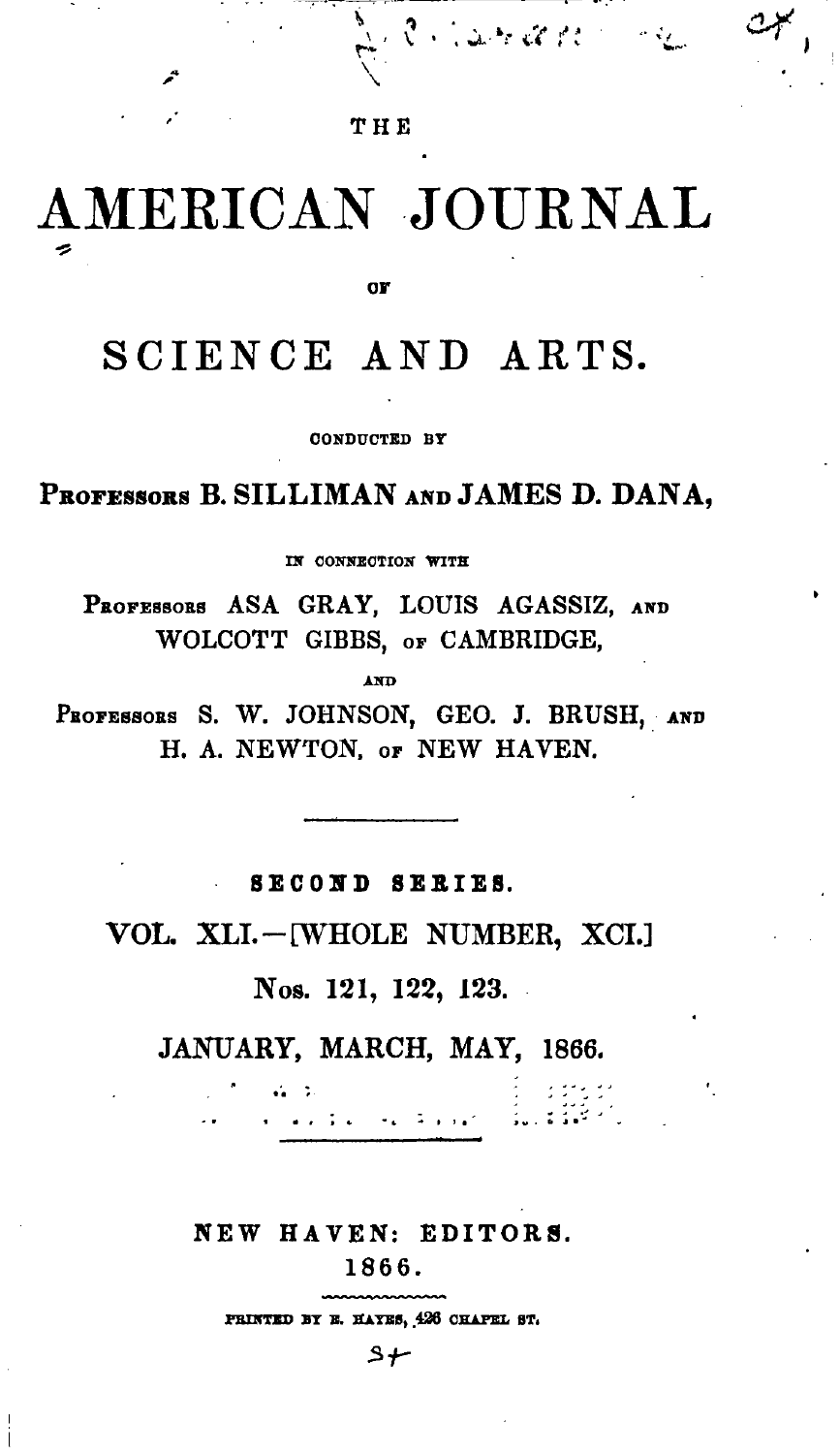## THE

**Cardina** 

Ý

## AMERICAN JOURNAL  $\tilde{z}$

OF

# SCIENCE AND ARTS.

CONDUCTED BY

PROFESSORS B. SILLIMAN AND JAMES D. DANA.

IN CONNECTION WITH

PROFESSORS ASA GRAY, LOUIS AGASSIZ, AND WOLCOTT GIBBS, or CAMBRIDGE,

**AND** 

PROFESSORS S. W. JOHNSON, GEO. J. BRUSH, AND H. A. NEWTON. or NEW HAVEN.

SECOND SERIES.

VOL. XLI.-[WHOLE NUMBER, XCI.]

Nos. 121, 122, 123.

JANUARY, MARCH, MAY, 1866.

المورق عجاره والأمام

 $44 - 34$ 

NEW HAVEN: EDITORS.

1866.

PRINTED BY E. HAYES, 426 CHAPEL ST.

 $5 +$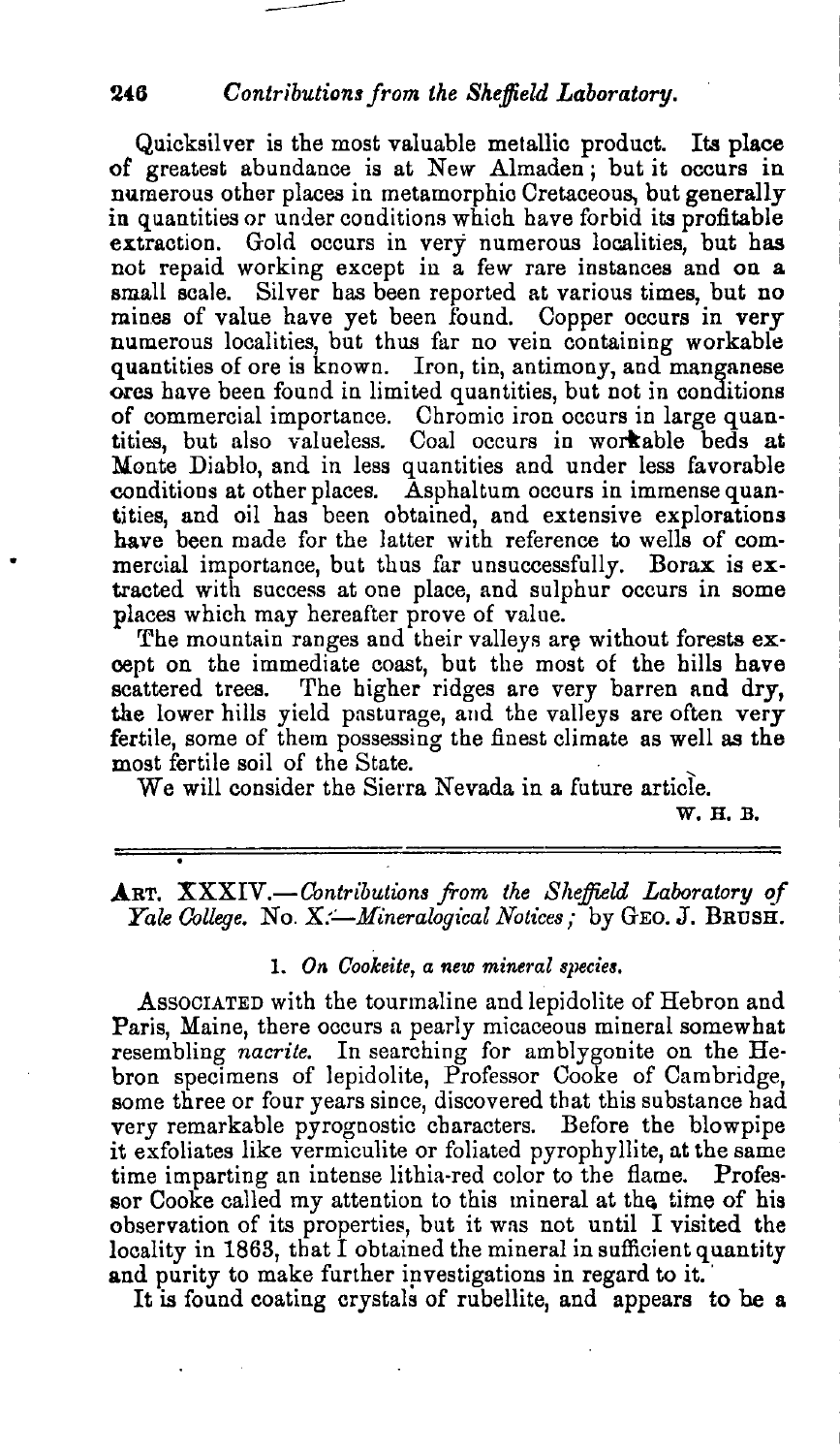#### *2.6 Contributions from the Sheffield Laboratory.*

--

Quicksilver is the most valuable metallic product. Its place of greatest abundance is at New Almaden <sup>j</sup> but it occurs in numerous other places in metamorphic Cretaceous, but generally in quantities or under conditions which have forbid its profitable extraction. Gold occurs in very numerous localities, but has not repaid working except in a few rare instances and on a small scale. Silver has been reported at various times, but no mines of value have yet been found. Copper occurs in very numerous localities, but thus far no vein containing workable quantities of ore is known. Iron, tin, antimony, and manganese ores have been found in limited quantities, but not in conditions of commercial importance. Chromic iron occurs in large quantities, but also valueless. Coal occurs in workable beds at Monte Diablo, and in less quantities and under less favorable conditions at other places. Asphaltum occurs in immense quantities, and oil has been obtained, and extensive explorations have been made for the latter with reference to wells of commercial importance, but thus far unsuccessfully. Borax is extracted with success at one place, and sulphur occurs in some places which may hereafter prove of value.

The mountain ranges and their valleys are without forests except on the immediate coast, but the most of the hills have scattered trees. The higher ridges are very barren and dry, the lower hills yield pasturage, and the valleys are often very fertile, some of them possessing the finest climate as well as the most fertile soil of the State.

We will consider the Sierra Nevada in a future article.

W.H.B.

.ART. *XXXIV.-Contributions from the Sheffield Laboratory of Yale College.* No. *X:-Mineralogical Notices;* by GEO. J. BRUSH.

#### 1. *On Gookeite, a new mineral species.*

ASSOCIATED with the tourmaline and lepidolite of Hebron and Paris, Maine, there occurs a pearly micaceous mineral somewhat resembling *nacrite.* In searching for amblygonite on the Hebron specimens of lepidolite, Professor Cooke of Cambridge, some three or four years since, discovered that this substance had very remarkable pyrognostic characters. Before the blowpipe it exfoliates like vermiculite or foliated pyrophyllite, at the same time imparting an intense lithia-red color to the flame. Professor Cooke called my attention to this mineral at the time of his observation of its properties, but it was not until I visited the locality in 1863, that I obtained the mineral in sufficient quantity and purity to make further investigations in regard to it.

It is found coating crystals of rubellite, and appears to be a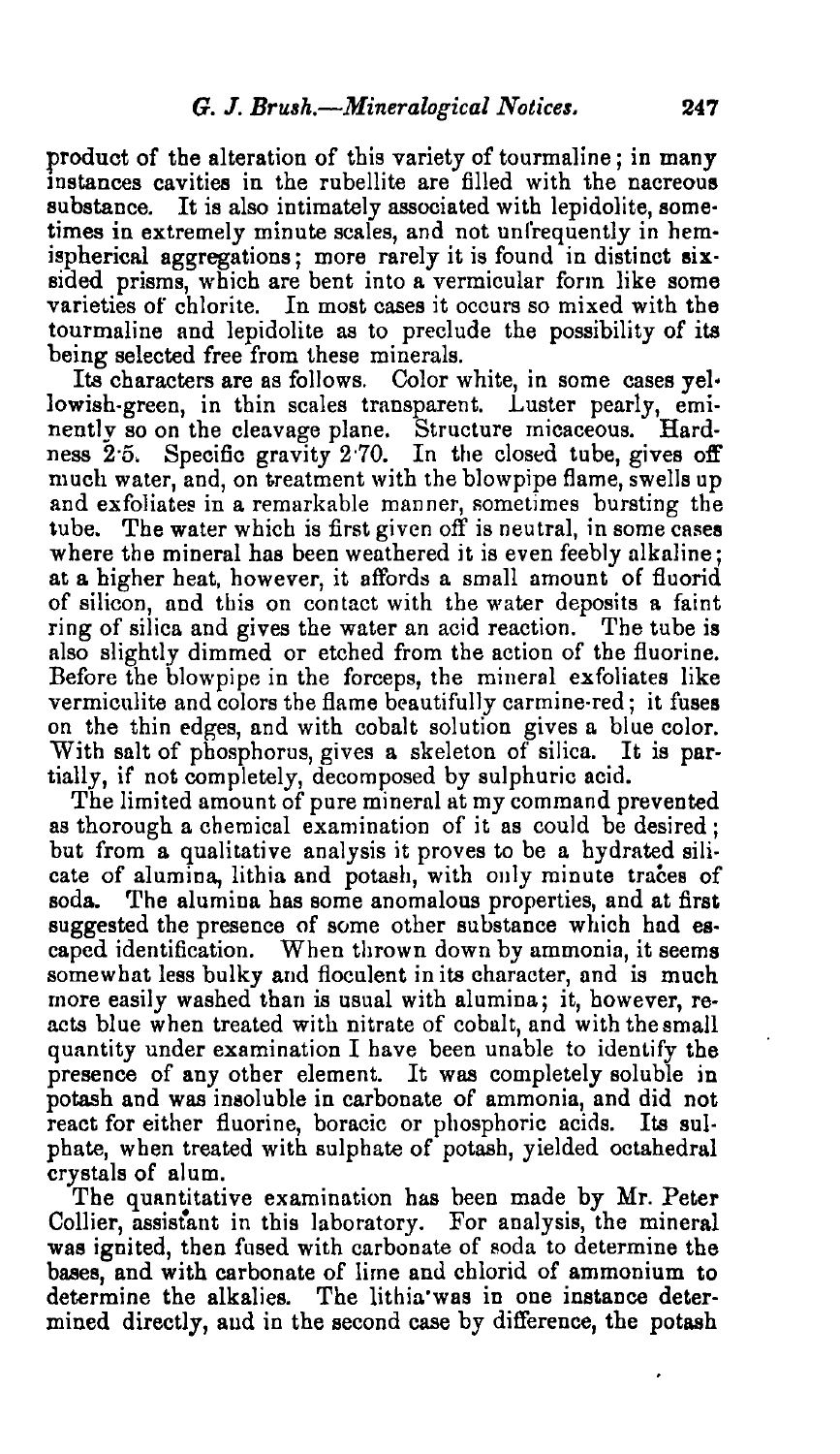produot of the alteration of this variety of tourmaline; in many instances cavities in the rubellite are filled with the nacreous substance. It is also intimately associated with lepidolite, some· times in extremely minute scales, and not unfrequently in hemispherical aggregations; more rarely it is found in distinct sixsided prisms, which are bent into a vermicular form like some varieties of chlorite. In most cases it occurs so mixed with the tourmaline and lepidolite as to preclude the possibility of its being selected free from these minerals.

Its characters are as follows. Color white, in some cases yellowish-green, in thin scales transparent. Luster pearly, eminently so on the cleavage plane. Structure micaceous. Hardness 2.5. Specific gravity 2.70. In the closed tube, gives off much water, and, on treatment with the blowpipe flame, swells up and exfoliates in a remarkable manner, sometimes bursting the tube. The water which is first given off is neutral, in some cases where the mineral has been weathered it is even feebly alkaline; at a higher heat, however, it affords a small amount of fluorid of silicon, and this on contact with the water deposits a faint ring of silica and gives the water an acid reaction. The tube is also slightly dimmed or etched from the action of the fluorine. Before the blowpipe in the forceps, the mineral exfoliates like vermiculite and colors the flame beautifully carmine-red; it fuses on the thin edges, and with cobalt solution gives a blue color. With salt of phosphorus, gives a skeleton of silica. It is partially, if not completely, decomposed by sulphuric acid.

The limited amount of pure mineral at my command prevented as thorough a chemical examination of it as could be desired: but from a qualitative analysis it proves to be a hydrated silicate of alumina, lithia and potash, with only minute traces of soda. The alumina has some anomalous properties, and at first suggested the presence of some other substance which had escaped identification. When thrown down by ammonia, it seems somewhat less bulky and floculent in its character, and is much more easily washed than is usual with alumina; it, however, reacts blue when treated with nitrate of cobalt, and with the small quantity under examination I have been unable to identify the presence of any other element. It was completely soluble in potash and was insoluble in carbonate of ammonia, and did not react for either fluorine, boracic or phosphoric acids. Its suI· phate, when treated with sulphate of potash, yielded octahedral crystals of alum.

The quantitative examination has been made by Mr. Peter Collier, assistant in this laboratory. For analysis, the mineral was ignited, then fused with carbonate of soda to determine the bases, and with carbonate of lime and chlorid of ammonium to determine the alkalies. The lithia'was in one instance determined directly, aud in the second case by difference, the potash